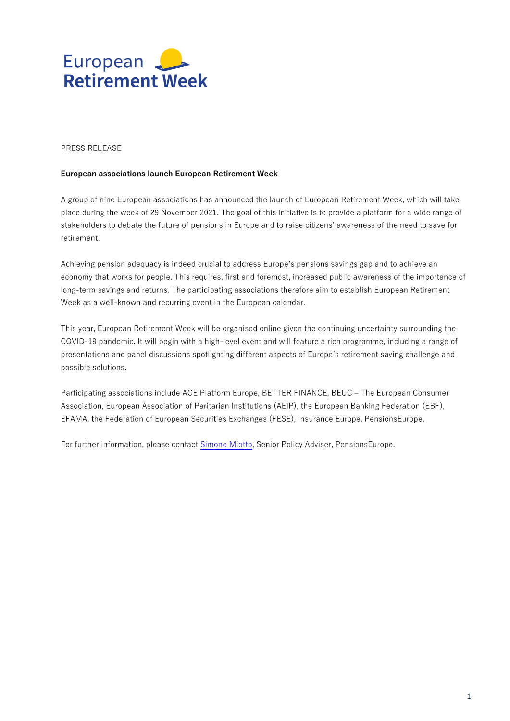

## PRESS RELEASE

## **European associations launch European Retirement Week**

A group of nine European associations has announced the launch of European Retirement Week, which will take place during the week of 29 November 2021. The goal of this initiative is to provide a platform for a wide range of stakeholders to debate the future of pensions in Europe and to raise citizens' awareness of the need to save for retirement.

Achieving pension adequacy is indeed crucial to address Europe's pensions savings gap and to achieve an economy that works for people. This requires, first and foremost, increased public awareness of the importance of long-term savings and returns. The participating associations therefore aim to establish European Retirement Week as a well-known and recurring event in the European calendar.

This year, European Retirement Week will be organised online given the continuing uncertainty surrounding the COVID-19 pandemic. It will begin with a high-level event and will feature a rich programme, including a range of presentations and panel discussions spotlighting different aspects of Europe's retirement saving challenge and possible solutions.

Participating associations include AGE Platform Europe, BETTER FINANCE, BEUC – The European Consumer Association, European Association of Paritarian Institutions (AEIP), the European Banking Federation (EBF), EFAMA, the Federation of European Securities Exchanges (FESE), Insurance Europe, PensionsEurope.

For further information, please contact [Simone Miotto,](mailto:%20Simone.miotto@pensionseurope.eu) Senior Policy Adviser, PensionsEurope.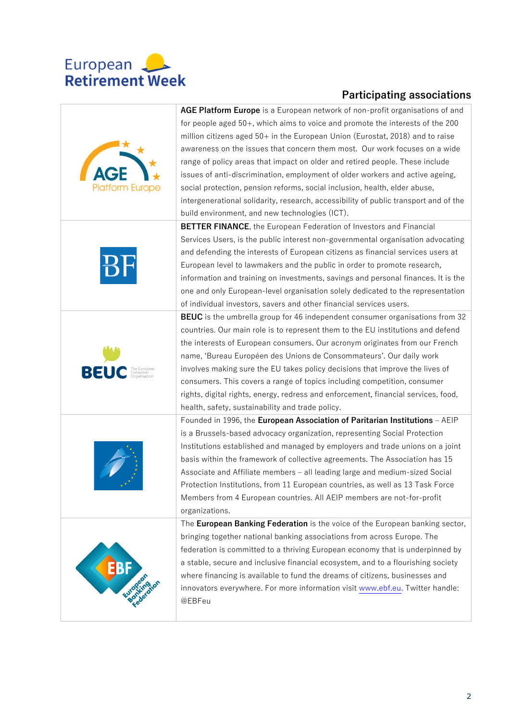

## **Participating associations**

| <b>Platform Europe</b> | AGE Platform Europe is a European network of non-profit organisations of and<br>for people aged 50+, which aims to voice and promote the interests of the 200<br>million citizens aged 50+ in the European Union (Eurostat, 2018) and to raise<br>awareness on the issues that concern them most. Our work focuses on a wide<br>range of policy areas that impact on older and retired people. These include<br>issues of anti-discrimination, employment of older workers and active ageing,<br>social protection, pension reforms, social inclusion, health, elder abuse,<br>intergenerational solidarity, research, accessibility of public transport and of the<br>build environment, and new technologies (ICT). |
|------------------------|-----------------------------------------------------------------------------------------------------------------------------------------------------------------------------------------------------------------------------------------------------------------------------------------------------------------------------------------------------------------------------------------------------------------------------------------------------------------------------------------------------------------------------------------------------------------------------------------------------------------------------------------------------------------------------------------------------------------------|
|                        | <b>BETTER FINANCE</b> , the European Federation of Investors and Financial                                                                                                                                                                                                                                                                                                                                                                                                                                                                                                                                                                                                                                            |
|                        | Services Users, is the public interest non-governmental organisation advocating<br>and defending the interests of European citizens as financial services users at<br>European level to lawmakers and the public in order to promote research,<br>information and training on investments, savings and personal finances. It is the<br>one and only European-level organisation solely dedicated to the representation<br>of individual investors, savers and other financial services users.                                                                                                                                                                                                                         |
|                        | BEUC is the umbrella group for 46 independent consumer organisations from 32                                                                                                                                                                                                                                                                                                                                                                                                                                                                                                                                                                                                                                          |
| BEU                    | countries. Our main role is to represent them to the EU institutions and defend<br>the interests of European consumers. Our acronym originates from our French<br>name, 'Bureau Européen des Unions de Consommateurs'. Our daily work<br>involves making sure the EU takes policy decisions that improve the lives of<br>consumers. This covers a range of topics including competition, consumer<br>rights, digital rights, energy, redress and enforcement, financial services, food,<br>health, safety, sustainability and trade policy.                                                                                                                                                                           |
|                        | Founded in 1996, the European Association of Paritarian Institutions - AEIP                                                                                                                                                                                                                                                                                                                                                                                                                                                                                                                                                                                                                                           |
|                        | is a Brussels-based advocacy organization, representing Social Protection<br>Institutions established and managed by employers and trade unions on a joint<br>basis within the framework of collective agreements. The Association has 15<br>Associate and Affiliate members - all leading large and medium-sized Social<br>Protection Institutions, from 11 European countries, as well as 13 Task Force<br>Members from 4 European countries. All AEIP members are not-for-profit<br>organizations.                                                                                                                                                                                                                 |
|                        | The European Banking Federation is the voice of the European banking sector,                                                                                                                                                                                                                                                                                                                                                                                                                                                                                                                                                                                                                                          |
|                        | bringing together national banking associations from across Europe. The<br>federation is committed to a thriving European economy that is underpinned by<br>a stable, secure and inclusive financial ecosystem, and to a flourishing society<br>where financing is available to fund the dreams of citizens, businesses and<br>innovators everywhere. For more information visit www.ebf.eu. Twitter handle:<br>@EBFeu                                                                                                                                                                                                                                                                                                |